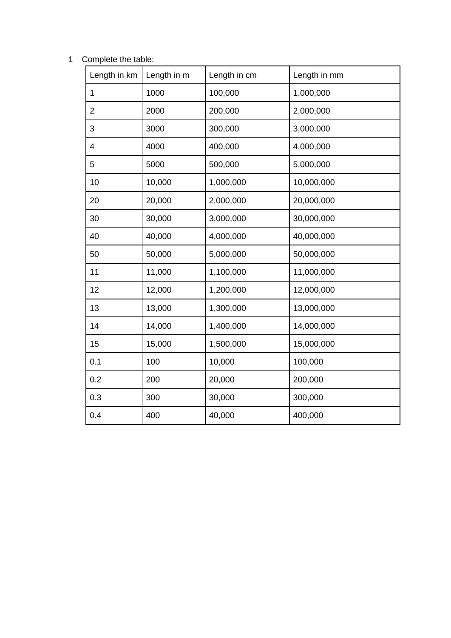## Complete the table:

| Length in km   | Length in m | Length in cm | Length in mm |  |
|----------------|-------------|--------------|--------------|--|
| $\mathbf 1$    | 1000        | 100,000      | 1,000,000    |  |
| $\overline{2}$ | 2000        | 200,000      | 2,000,000    |  |
| 3              | 3000        | 300,000      | 3,000,000    |  |
| 4              | 4000        | 400,000      | 4,000,000    |  |
| 5              | 5000        | 500,000      | 5,000,000    |  |
| 10             | 10,000      | 1,000,000    | 10,000,000   |  |
| 20             | 20,000      | 2,000,000    | 20,000,000   |  |
| 30             | 30,000      | 3,000,000    | 30,000,000   |  |
| 40             | 40,000      | 4,000,000    | 40,000,000   |  |
| 50             | 50,000      | 5,000,000    | 50,000,000   |  |
| 11             | 11,000      | 1,100,000    | 11,000,000   |  |
| 12             | 12,000      | 1,200,000    | 12,000,000   |  |
| 13             | 13,000      | 1,300,000    | 13,000,000   |  |
| 14             | 14,000      | 1,400,000    | 14,000,000   |  |
| 15             | 15,000      | 1,500,000    | 15,000,000   |  |
| 0.1            | 100         | 10,000       | 100,000      |  |
| 0.2            | 200         | 20,000       | 200,000      |  |
| 0.3            | 300         | 30,000       | 300,000      |  |
| 0.4            | 400         | 40,000       | 400,000      |  |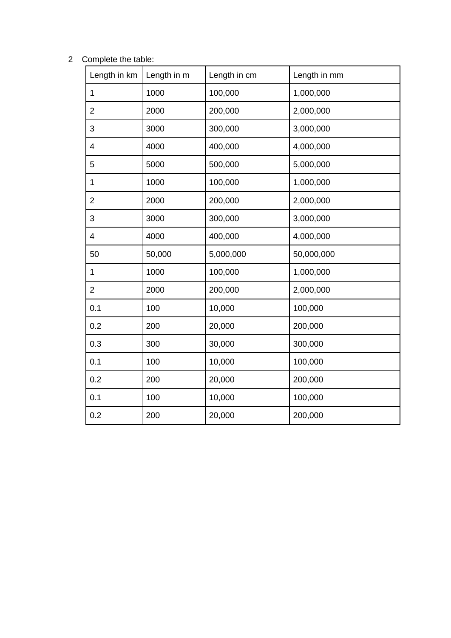## Complete the table:

| Length in km   | Length in m | Length in cm | Length in mm |  |
|----------------|-------------|--------------|--------------|--|
| $\mathbf 1$    | 1000        | 100,000      | 1,000,000    |  |
| $\overline{c}$ | 2000        | 200,000      | 2,000,000    |  |
| 3              | 3000        | 300,000      | 3,000,000    |  |
| 4              | 4000        | 400,000      | 4,000,000    |  |
| 5              | 5000        | 500,000      | 5,000,000    |  |
| $\mathbf 1$    | 1000        | 100,000      | 1,000,000    |  |
| $\overline{c}$ | 2000        | 200,000      | 2,000,000    |  |
| 3              | 3000        | 300,000      | 3,000,000    |  |
| 4              | 4000        | 400,000      | 4,000,000    |  |
| 50             | 50,000      | 5,000,000    | 50,000,000   |  |
| $\mathbf 1$    | 1000        | 100,000      | 1,000,000    |  |
| $\overline{2}$ | 2000        | 200,000      | 2,000,000    |  |
| 0.1            | 100         | 10,000       | 100,000      |  |
| 0.2            | 200         | 20,000       | 200,000      |  |
| 0.3            | 300         | 30,000       | 300,000      |  |
| 0.1            | 100         | 10,000       | 100,000      |  |
| 0.2            | 200         | 20,000       | 200,000      |  |
| 0.1            | 100         | 10,000       | 100,000      |  |
| 0.2            | 200         | 20,000       | 200,000      |  |